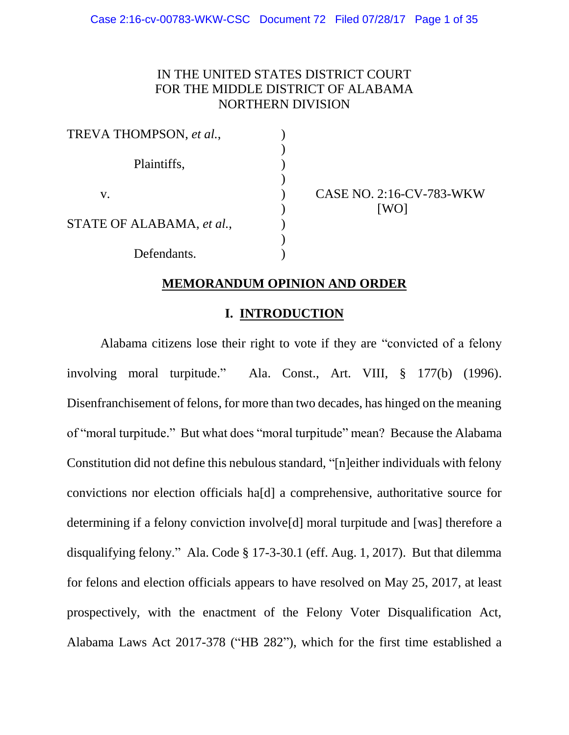# IN THE UNITED STATES DISTRICT COURT FOR THE MIDDLE DISTRICT OF ALABAMA NORTHERN DIVISION

| TREVA THOMPSON, et al.,   |  |
|---------------------------|--|
| Plaintiffs,               |  |
| V.                        |  |
| STATE OF ALABAMA, et al., |  |
| Defendants.               |  |

CASE NO. 2:16-CV-783-WKW [WO]

## **MEMORANDUM OPINION AND ORDER**

# **I. INTRODUCTION**

Alabama citizens lose their right to vote if they are "convicted of a felony involving moral turpitude." Ala. Const., Art. VIII, § 177(b) (1996). Disenfranchisement of felons, for more than two decades, has hinged on the meaning of "moral turpitude." But what does "moral turpitude" mean? Because the Alabama Constitution did not define this nebulous standard, "[n]either individuals with felony convictions nor election officials ha[d] a comprehensive, authoritative source for determining if a felony conviction involve[d] moral turpitude and [was] therefore a disqualifying felony." Ala. Code § 17-3-30.1 (eff. Aug. 1, 2017). But that dilemma for felons and election officials appears to have resolved on May 25, 2017, at least prospectively, with the enactment of the Felony Voter Disqualification Act, Alabama Laws Act 2017-378 ("HB 282"), which for the first time established a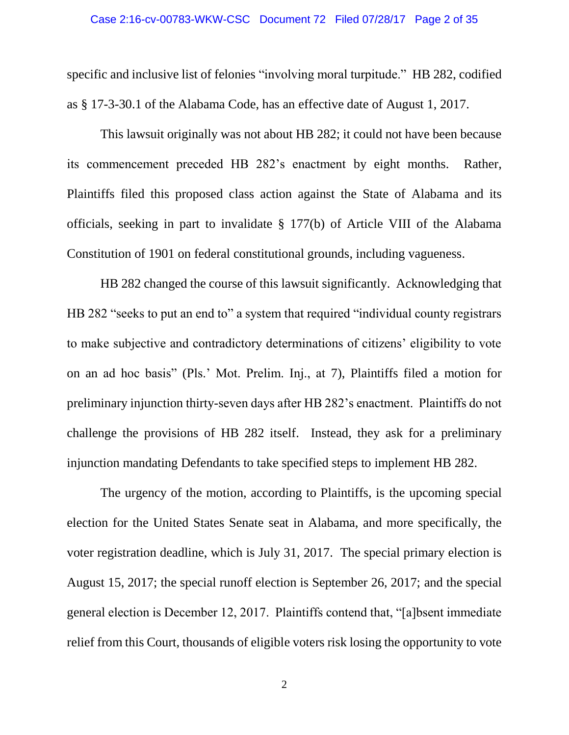specific and inclusive list of felonies "involving moral turpitude." HB 282, codified as § 17-3-30.1 of the Alabama Code, has an effective date of August 1, 2017.

This lawsuit originally was not about HB 282; it could not have been because its commencement preceded HB 282's enactment by eight months. Rather, Plaintiffs filed this proposed class action against the State of Alabama and its officials, seeking in part to invalidate § 177(b) of Article VIII of the Alabama Constitution of 1901 on federal constitutional grounds, including vagueness.

HB 282 changed the course of this lawsuit significantly. Acknowledging that HB 282 "seeks to put an end to" a system that required "individual county registrars to make subjective and contradictory determinations of citizens' eligibility to vote on an ad hoc basis" (Pls.' Mot. Prelim. Inj., at 7), Plaintiffs filed a motion for preliminary injunction thirty-seven days after HB 282's enactment. Plaintiffs do not challenge the provisions of HB 282 itself. Instead, they ask for a preliminary injunction mandating Defendants to take specified steps to implement HB 282.

The urgency of the motion, according to Plaintiffs, is the upcoming special election for the United States Senate seat in Alabama, and more specifically, the voter registration deadline, which is July 31, 2017. The special primary election is August 15, 2017; the special runoff election is September 26, 2017; and the special general election is December 12, 2017. Plaintiffs contend that, "[a]bsent immediate relief from this Court, thousands of eligible voters risk losing the opportunity to vote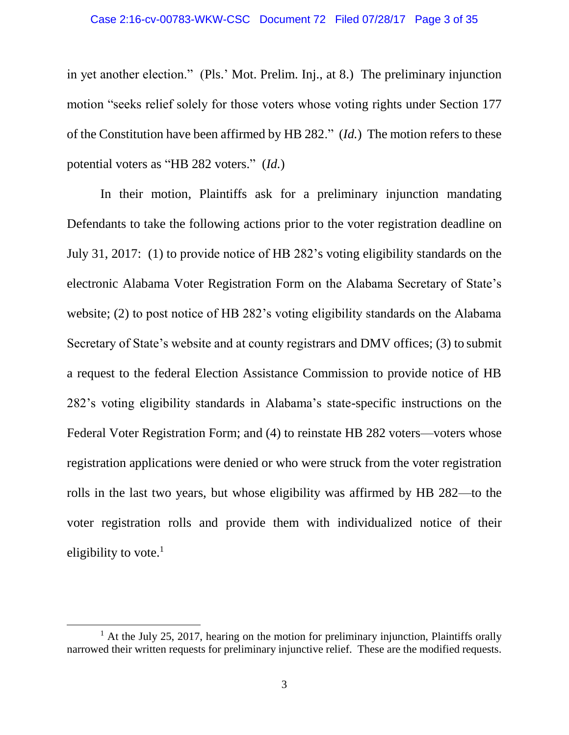#### Case 2:16-cv-00783-WKW-CSC Document 72 Filed 07/28/17 Page 3 of 35

in yet another election." (Pls.' Mot. Prelim. Inj., at 8.) The preliminary injunction motion "seeks relief solely for those voters whose voting rights under Section 177 of the Constitution have been affirmed by HB 282." (*Id.*) The motion refers to these potential voters as "HB 282 voters." (*Id.*)

In their motion, Plaintiffs ask for a preliminary injunction mandating Defendants to take the following actions prior to the voter registration deadline on July 31, 2017: (1) to provide notice of HB 282's voting eligibility standards on the electronic Alabama Voter Registration Form on the Alabama Secretary of State's website; (2) to post notice of HB 282's voting eligibility standards on the Alabama Secretary of State's website and at county registrars and DMV offices; (3) to submit a request to the federal Election Assistance Commission to provide notice of HB 282's voting eligibility standards in Alabama's state-specific instructions on the Federal Voter Registration Form; and (4) to reinstate HB 282 voters—voters whose registration applications were denied or who were struck from the voter registration rolls in the last two years, but whose eligibility was affirmed by HB 282—to the voter registration rolls and provide them with individualized notice of their eligibility to vote. $1$ 

 $\overline{a}$ 

<sup>&</sup>lt;sup>1</sup> At the July 25, 2017, hearing on the motion for preliminary injunction, Plaintiffs orally narrowed their written requests for preliminary injunctive relief. These are the modified requests.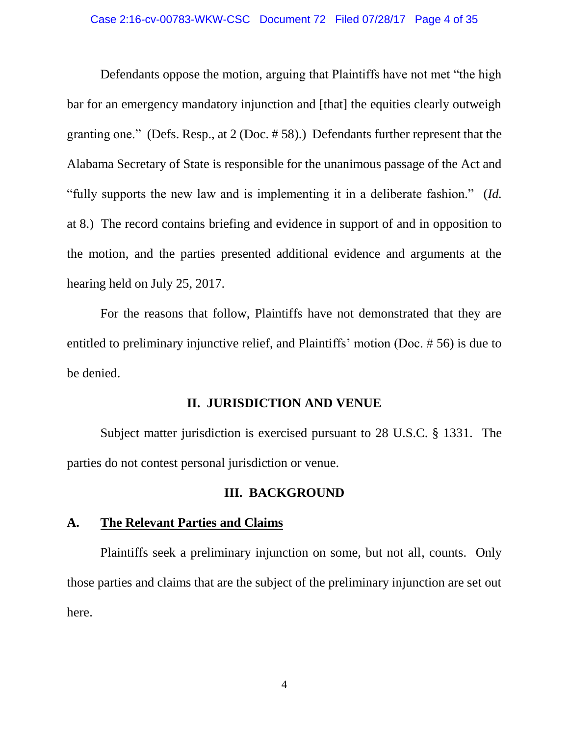Defendants oppose the motion, arguing that Plaintiffs have not met "the high bar for an emergency mandatory injunction and [that] the equities clearly outweigh granting one." (Defs. Resp., at 2 (Doc. # 58).) Defendants further represent that the Alabama Secretary of State is responsible for the unanimous passage of the Act and "fully supports the new law and is implementing it in a deliberate fashion." (*Id.* at 8.) The record contains briefing and evidence in support of and in opposition to the motion, and the parties presented additional evidence and arguments at the hearing held on July 25, 2017.

For the reasons that follow, Plaintiffs have not demonstrated that they are entitled to preliminary injunctive relief, and Plaintiffs' motion (Doc. # 56) is due to be denied.

## **II. JURISDICTION AND VENUE**

Subject matter jurisdiction is exercised pursuant to 28 U.S.C. § 1331. The parties do not contest personal jurisdiction or venue.

## **III. BACKGROUND**

# **A. The Relevant Parties and Claims**

Plaintiffs seek a preliminary injunction on some, but not all, counts. Only those parties and claims that are the subject of the preliminary injunction are set out here.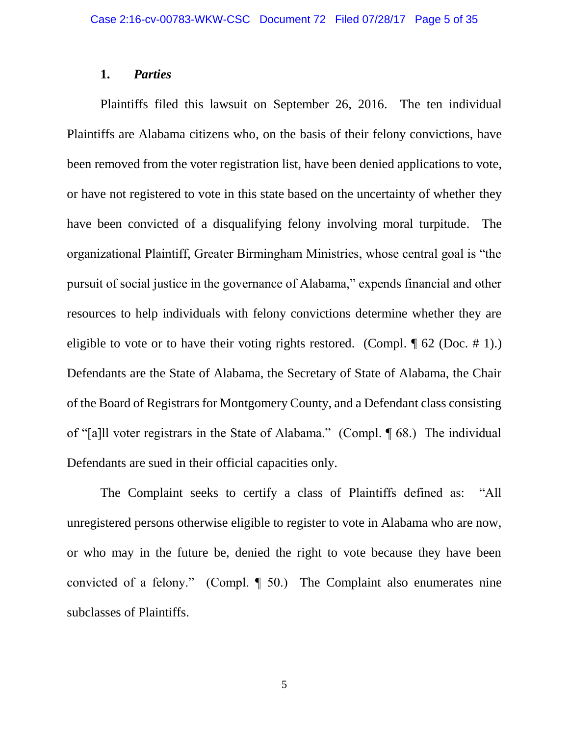## **1.** *Parties*

Plaintiffs filed this lawsuit on September 26, 2016. The ten individual Plaintiffs are Alabama citizens who, on the basis of their felony convictions, have been removed from the voter registration list, have been denied applications to vote, or have not registered to vote in this state based on the uncertainty of whether they have been convicted of a disqualifying felony involving moral turpitude. The organizational Plaintiff, Greater Birmingham Ministries, whose central goal is "the pursuit of social justice in the governance of Alabama," expends financial and other resources to help individuals with felony convictions determine whether they are eligible to vote or to have their voting rights restored. (Compl.  $\P$  62 (Doc. # 1).) Defendants are the State of Alabama, the Secretary of State of Alabama, the Chair of the Board of Registrars for Montgomery County, and a Defendant class consisting of "[a]ll voter registrars in the State of Alabama." (Compl. ¶ 68.) The individual Defendants are sued in their official capacities only.

The Complaint seeks to certify a class of Plaintiffs defined as: "All unregistered persons otherwise eligible to register to vote in Alabama who are now, or who may in the future be, denied the right to vote because they have been convicted of a felony." (Compl. ¶ 50.) The Complaint also enumerates nine subclasses of Plaintiffs.

5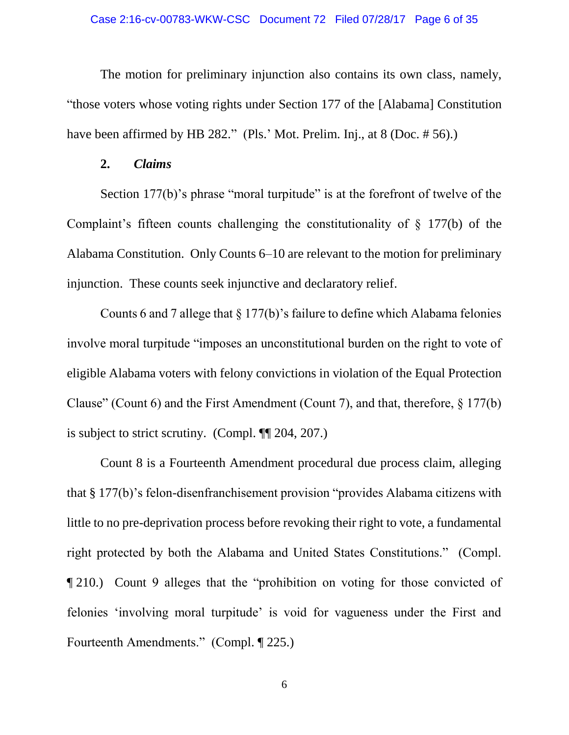The motion for preliminary injunction also contains its own class, namely, "those voters whose voting rights under Section 177 of the [Alabama] Constitution have been affirmed by HB 282." (Pls.' Mot. Prelim. Inj., at 8 (Doc. # 56).)

#### **2.** *Claims*

Section 177(b)'s phrase "moral turpitude" is at the forefront of twelve of the Complaint's fifteen counts challenging the constitutionality of § 177(b) of the Alabama Constitution. Only Counts 6–10 are relevant to the motion for preliminary injunction. These counts seek injunctive and declaratory relief.

Counts 6 and 7 allege that § 177(b)'s failure to define which Alabama felonies involve moral turpitude "imposes an unconstitutional burden on the right to vote of eligible Alabama voters with felony convictions in violation of the Equal Protection Clause" (Count 6) and the First Amendment (Count 7), and that, therefore, § 177(b) is subject to strict scrutiny. (Compl. ¶¶ 204, 207.)

Count 8 is a Fourteenth Amendment procedural due process claim, alleging that § 177(b)'s felon-disenfranchisement provision "provides Alabama citizens with little to no pre-deprivation process before revoking their right to vote, a fundamental right protected by both the Alabama and United States Constitutions." (Compl. ¶ 210.) Count 9 alleges that the "prohibition on voting for those convicted of felonies 'involving moral turpitude' is void for vagueness under the First and Fourteenth Amendments." (Compl. ¶ 225.)

6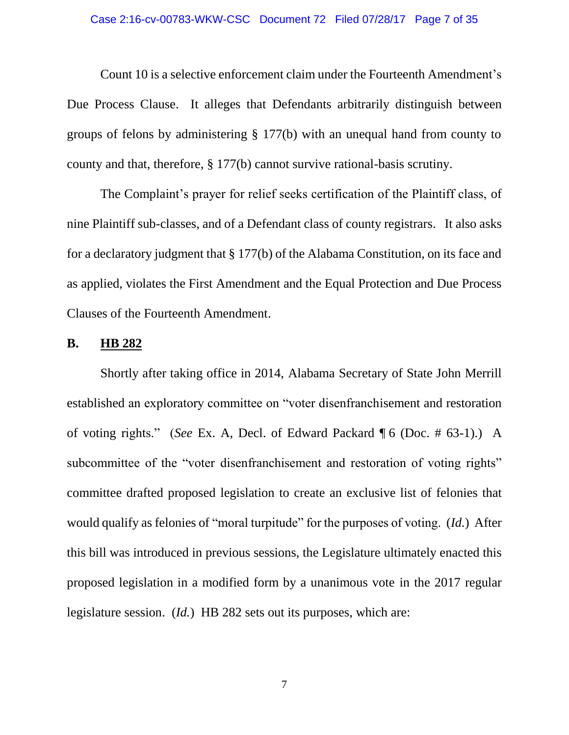#### Case 2:16-cv-00783-WKW-CSC Document 72 Filed 07/28/17 Page 7 of 35

Count 10 is a selective enforcement claim under the Fourteenth Amendment's Due Process Clause. It alleges that Defendants arbitrarily distinguish between groups of felons by administering § 177(b) with an unequal hand from county to county and that, therefore, § 177(b) cannot survive rational-basis scrutiny.

The Complaint's prayer for relief seeks certification of the Plaintiff class, of nine Plaintiff sub-classes, and of a Defendant class of county registrars. It also asks for a declaratory judgment that § 177(b) of the Alabama Constitution, on its face and as applied, violates the First Amendment and the Equal Protection and Due Process Clauses of the Fourteenth Amendment.

#### **B. HB 282**

Shortly after taking office in 2014, Alabama Secretary of State John Merrill established an exploratory committee on "voter disenfranchisement and restoration of voting rights." (*See* Ex. A, Decl. of Edward Packard ¶ 6 (Doc. # 63-1).) A subcommittee of the "voter disenfranchisement and restoration of voting rights" committee drafted proposed legislation to create an exclusive list of felonies that would qualify as felonies of "moral turpitude" for the purposes of voting. (*Id.*) After this bill was introduced in previous sessions, the Legislature ultimately enacted this proposed legislation in a modified form by a unanimous vote in the 2017 regular legislature session. (*Id.*) HB 282 sets out its purposes, which are: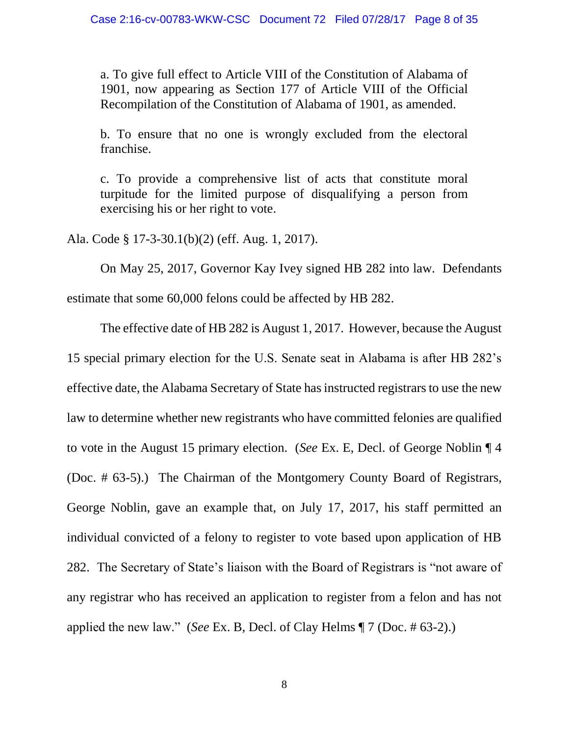a. To give full effect to Article VIII of the Constitution of Alabama of 1901, now appearing as Section 177 of Article VIII of the Official Recompilation of the Constitution of Alabama of 1901, as amended.

b. To ensure that no one is wrongly excluded from the electoral franchise.

c. To provide a comprehensive list of acts that constitute moral turpitude for the limited purpose of disqualifying a person from exercising his or her right to vote.

Ala. Code § 17-3-30.1(b)(2) (eff. Aug. 1, 2017).

On May 25, 2017, Governor Kay Ivey signed HB 282 into law. Defendants estimate that some 60,000 felons could be affected by HB 282.

The effective date of HB 282 is August 1, 2017. However, because the August 15 special primary election for the U.S. Senate seat in Alabama is after HB 282's effective date, the Alabama Secretary of State has instructed registrars to use the new law to determine whether new registrants who have committed felonies are qualified to vote in the August 15 primary election. (*See* Ex. E, Decl. of George Noblin ¶ 4 (Doc. # 63-5).) The Chairman of the Montgomery County Board of Registrars, George Noblin, gave an example that, on July 17, 2017, his staff permitted an individual convicted of a felony to register to vote based upon application of HB 282. The Secretary of State's liaison with the Board of Registrars is "not aware of any registrar who has received an application to register from a felon and has not applied the new law." (*See* Ex. B, Decl. of Clay Helms ¶ 7 (Doc. # 63-2).)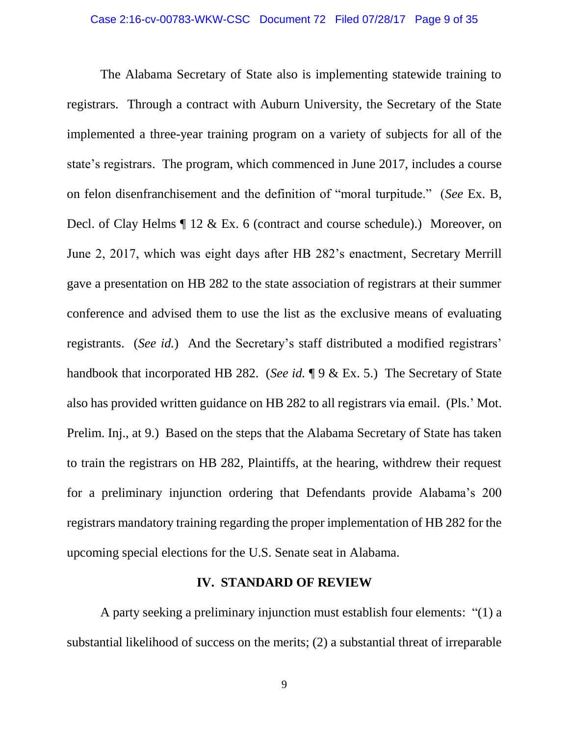The Alabama Secretary of State also is implementing statewide training to registrars. Through a contract with Auburn University, the Secretary of the State implemented a three-year training program on a variety of subjects for all of the state's registrars. The program, which commenced in June 2017, includes a course on felon disenfranchisement and the definition of "moral turpitude." (*See* Ex. B, Decl. of Clay Helms ¶ 12 & Ex. 6 (contract and course schedule).) Moreover, on June 2, 2017, which was eight days after HB 282's enactment, Secretary Merrill gave a presentation on HB 282 to the state association of registrars at their summer conference and advised them to use the list as the exclusive means of evaluating registrants. (*See id.*) And the Secretary's staff distributed a modified registrars' handbook that incorporated HB 282. (*See id.* ¶ 9 & Ex. 5.) The Secretary of State also has provided written guidance on HB 282 to all registrars via email. (Pls.' Mot. Prelim. Inj., at 9.) Based on the steps that the Alabama Secretary of State has taken to train the registrars on HB 282, Plaintiffs, at the hearing, withdrew their request for a preliminary injunction ordering that Defendants provide Alabama's 200 registrars mandatory training regarding the proper implementation of HB 282 for the upcoming special elections for the U.S. Senate seat in Alabama.

#### **IV. STANDARD OF REVIEW**

A party seeking a preliminary injunction must establish four elements: "(1) a substantial likelihood of success on the merits; (2) a substantial threat of irreparable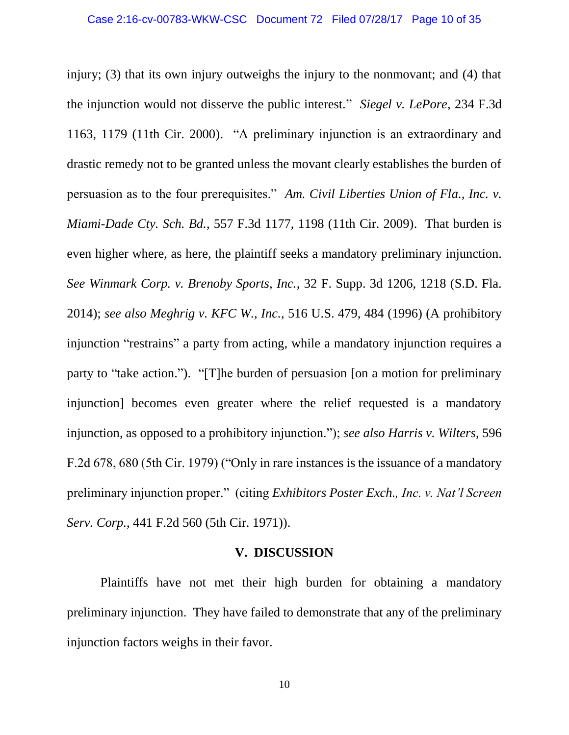injury; (3) that its own injury outweighs the injury to the nonmovant; and (4) that the injunction would not disserve the public interest." *Siegel v. LePore*, 234 F.3d 1163, 1179 (11th Cir. 2000). "A preliminary injunction is an extraordinary and drastic remedy not to be granted unless the movant clearly establishes the burden of persuasion as to the four prerequisites." *Am. Civil Liberties Union of Fla., Inc. v. Miami-Dade Cty. Sch. Bd.*, 557 F.3d 1177, 1198 (11th Cir. 2009). That burden is even higher where, as here, the plaintiff seeks a mandatory preliminary injunction. *See Winmark Corp. v. Brenoby Sports, Inc.*, 32 F. Supp. 3d 1206, 1218 (S.D. Fla. 2014); *see also Meghrig v. KFC W., Inc.*, 516 U.S. 479, 484 (1996) (A prohibitory injunction "restrains" a party from acting, while a mandatory injunction requires a party to "take action."). "[T]he burden of persuasion [on a motion for preliminary injunction] becomes even greater where the relief requested is a mandatory injunction, as opposed to a prohibitory injunction."); *see also Harris v. Wilters*, 596 F.2d 678, 680 (5th Cir. 1979) ("Only in rare instances is the issuance of a mandatory preliminary injunction proper." (citing *Exhibitors Poster Exch., Inc. v. Nat'l Screen Serv. Corp.*, 441 F.2d 560 (5th Cir. 1971)).

#### **V. DISCUSSION**

Plaintiffs have not met their high burden for obtaining a mandatory preliminary injunction. They have failed to demonstrate that any of the preliminary injunction factors weighs in their favor.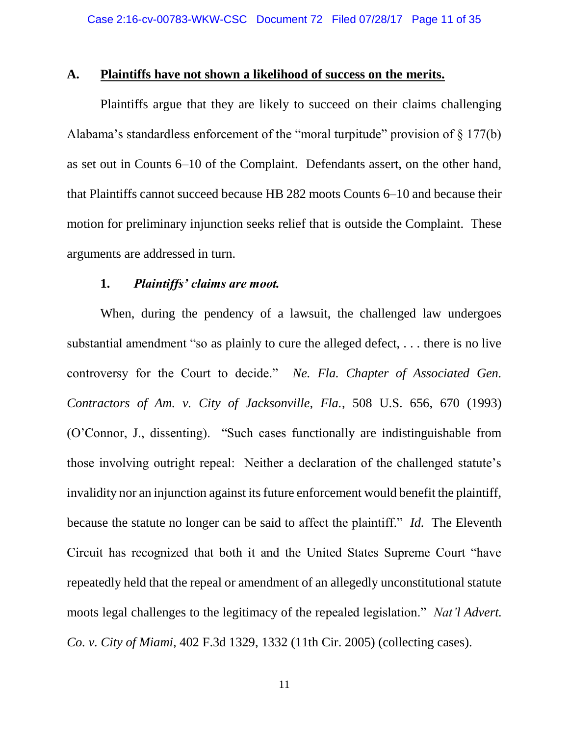### **A. Plaintiffs have not shown a likelihood of success on the merits.**

Plaintiffs argue that they are likely to succeed on their claims challenging Alabama's standardless enforcement of the "moral turpitude" provision of § 177(b) as set out in Counts 6–10 of the Complaint. Defendants assert, on the other hand, that Plaintiffs cannot succeed because HB 282 moots Counts 6–10 and because their motion for preliminary injunction seeks relief that is outside the Complaint. These arguments are addressed in turn.

#### **1.** *Plaintiffs' claims are moot.*

When, during the pendency of a lawsuit, the challenged law undergoes substantial amendment "so as plainly to cure the alleged defect, . . . there is no live controversy for the Court to decide." *Ne. Fla. Chapter of Associated Gen. Contractors of Am. v. City of Jacksonville, Fla.*, 508 U.S. 656, 670 (1993) (O'Connor, J., dissenting). "Such cases functionally are indistinguishable from those involving outright repeal: Neither a declaration of the challenged statute's invalidity nor an injunction against its future enforcement would benefit the plaintiff, because the statute no longer can be said to affect the plaintiff." *Id.* The Eleventh Circuit has recognized that both it and the United States Supreme Court "have repeatedly held that the repeal or amendment of an allegedly unconstitutional statute moots legal challenges to the legitimacy of the repealed legislation." *Nat'l Advert. Co. v. City of Miami*, 402 F.3d 1329, 1332 (11th Cir. 2005) (collecting cases).

11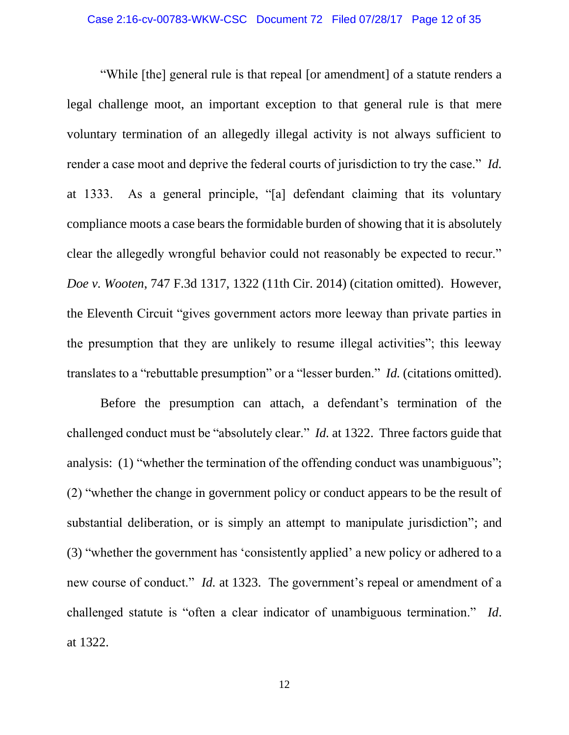"While [the] general rule is that repeal [or amendment] of a statute renders a legal challenge moot, an important exception to that general rule is that mere voluntary termination of an allegedly illegal activity is not always sufficient to render a case moot and deprive the federal courts of jurisdiction to try the case." *Id.* at 1333. As a general principle, "[a] defendant claiming that its voluntary compliance moots a case bears the formidable burden of showing that it is absolutely clear the allegedly wrongful behavior could not reasonably be expected to recur." *Doe v. Wooten*, 747 F.3d 1317, 1322 (11th Cir. 2014) (citation omitted). However, the Eleventh Circuit "gives government actors more leeway than private parties in the presumption that they are unlikely to resume illegal activities"; this leeway translates to a "rebuttable presumption" or a "lesser burden." *Id.* (citations omitted).

Before the presumption can attach, a defendant's termination of the challenged conduct must be "absolutely clear." *Id.* at 1322. Three factors guide that analysis: (1) "whether the termination of the offending conduct was unambiguous"; (2) "whether the change in government policy or conduct appears to be the result of substantial deliberation, or is simply an attempt to manipulate jurisdiction"; and (3) "whether the government has 'consistently applied' a new policy or adhered to a new course of conduct." *Id.* at 1323. The government's repeal or amendment of a challenged statute is "often a clear indicator of unambiguous termination." *Id*. at 1322.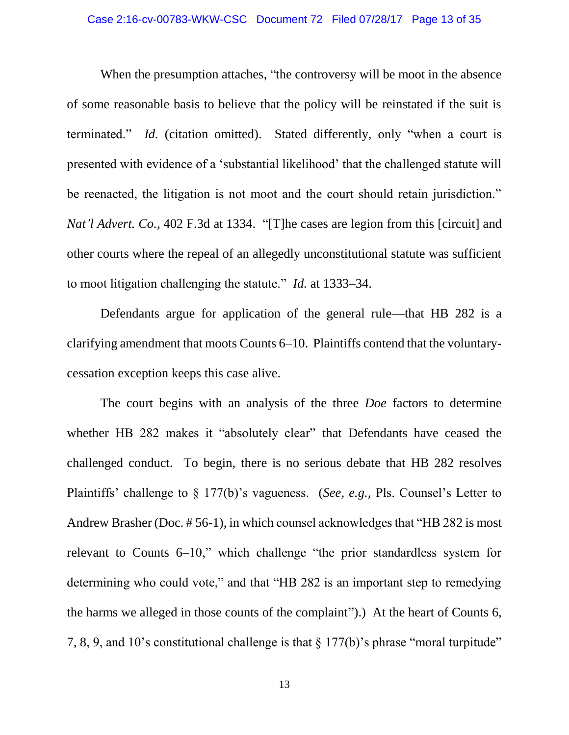When the presumption attaches, "the controversy will be moot in the absence of some reasonable basis to believe that the policy will be reinstated if the suit is terminated." *Id.* (citation omitted). Stated differently, only "when a court is presented with evidence of a 'substantial likelihood' that the challenged statute will be reenacted, the litigation is not moot and the court should retain jurisdiction." *Nat'l Advert. Co.*, 402 F.3d at 1334. "[T]he cases are legion from this [circuit] and other courts where the repeal of an allegedly unconstitutional statute was sufficient to moot litigation challenging the statute." *Id.* at 1333–34.

Defendants argue for application of the general rule—that HB 282 is a clarifying amendment that moots Counts 6–10. Plaintiffs contend that the voluntarycessation exception keeps this case alive.

The court begins with an analysis of the three *Doe* factors to determine whether HB 282 makes it "absolutely clear" that Defendants have ceased the challenged conduct. To begin, there is no serious debate that HB 282 resolves Plaintiffs' challenge to § 177(b)'s vagueness. (*See, e.g.,* Pls. Counsel's Letter to Andrew Brasher (Doc. # 56-1), in which counsel acknowledges that "HB 282 is most relevant to Counts 6–10," which challenge "the prior standardless system for determining who could vote," and that "HB 282 is an important step to remedying the harms we alleged in those counts of the complaint").) At the heart of Counts 6, 7, 8, 9, and 10's constitutional challenge is that § 177(b)'s phrase "moral turpitude"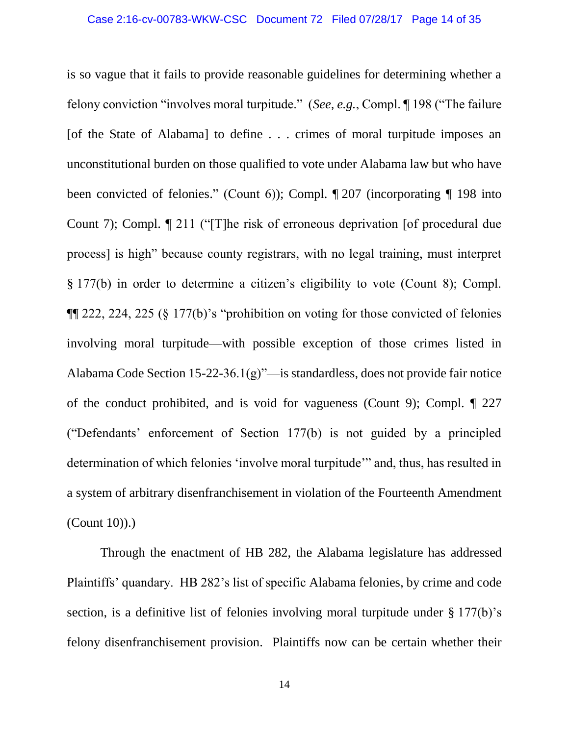is so vague that it fails to provide reasonable guidelines for determining whether a felony conviction "involves moral turpitude." (*See, e.g.*, Compl. ¶ 198 ("The failure [of the State of Alabama] to define . . . crimes of moral turpitude imposes an unconstitutional burden on those qualified to vote under Alabama law but who have been convicted of felonies." (Count 6)); Compl. ¶ 207 (incorporating ¶ 198 into Count 7); Compl. ¶ 211 ("[T]he risk of erroneous deprivation [of procedural due process] is high" because county registrars, with no legal training, must interpret § 177(b) in order to determine a citizen's eligibility to vote (Count 8); Compl. ¶¶ 222, 224, 225 (§ 177(b)'s "prohibition on voting for those convicted of felonies involving moral turpitude—with possible exception of those crimes listed in Alabama Code Section 15-22-36.1(g)"—is standardless, does not provide fair notice of the conduct prohibited, and is void for vagueness (Count 9); Compl. ¶ 227 ("Defendants' enforcement of Section 177(b) is not guided by a principled determination of which felonies 'involve moral turpitude'" and, thus, has resulted in a system of arbitrary disenfranchisement in violation of the Fourteenth Amendment (Count 10)).)

Through the enactment of HB 282, the Alabama legislature has addressed Plaintiffs' quandary. HB 282's list of specific Alabama felonies, by crime and code section, is a definitive list of felonies involving moral turpitude under § 177(b)'s felony disenfranchisement provision. Plaintiffs now can be certain whether their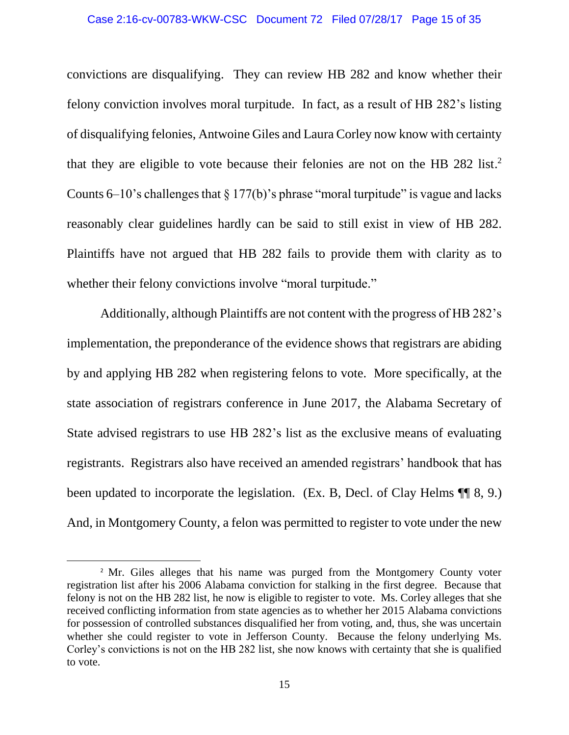convictions are disqualifying. They can review HB 282 and know whether their felony conviction involves moral turpitude. In fact, as a result of HB 282's listing of disqualifying felonies, Antwoine Giles and Laura Corley now know with certainty that they are eligible to vote because their felonies are not on the HB 282 list.<sup>2</sup> Counts  $6-10$ 's challenges that § 177(b)'s phrase "moral turpitude" is vague and lacks reasonably clear guidelines hardly can be said to still exist in view of HB 282. Plaintiffs have not argued that HB 282 fails to provide them with clarity as to whether their felony convictions involve "moral turpitude."

Additionally, although Plaintiffs are not content with the progress of HB 282's implementation, the preponderance of the evidence shows that registrars are abiding by and applying HB 282 when registering felons to vote. More specifically, at the state association of registrars conference in June 2017, the Alabama Secretary of State advised registrars to use HB 282's list as the exclusive means of evaluating registrants. Registrars also have received an amended registrars' handbook that has been updated to incorporate the legislation. (Ex. B, Decl. of Clay Helms  $\P\P$  8, 9.) And, in Montgomery County, a felon was permitted to register to vote under the new

 $\overline{\phantom{a}}$ 

<sup>&</sup>lt;sup>2</sup> Mr. Giles alleges that his name was purged from the Montgomery County voter registration list after his 2006 Alabama conviction for stalking in the first degree. Because that felony is not on the HB 282 list, he now is eligible to register to vote. Ms. Corley alleges that she received conflicting information from state agencies as to whether her 2015 Alabama convictions for possession of controlled substances disqualified her from voting, and, thus, she was uncertain whether she could register to vote in Jefferson County. Because the felony underlying Ms. Corley's convictions is not on the HB 282 list, she now knows with certainty that she is qualified to vote.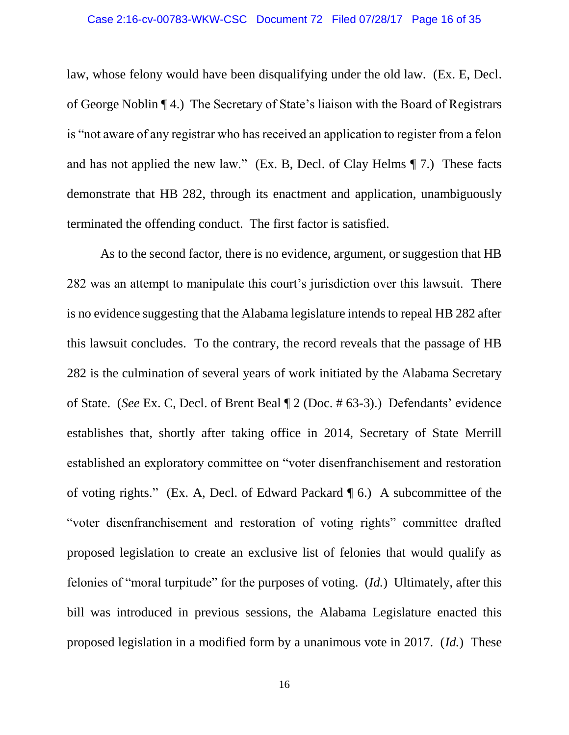law, whose felony would have been disqualifying under the old law. (Ex. E, Decl. of George Noblin ¶ 4.) The Secretary of State's liaison with the Board of Registrars is "not aware of any registrar who has received an application to register from a felon and has not applied the new law." (Ex. B, Decl. of Clay Helms ¶ 7.) These facts demonstrate that HB 282, through its enactment and application, unambiguously terminated the offending conduct. The first factor is satisfied.

As to the second factor, there is no evidence, argument, or suggestion that HB 282 was an attempt to manipulate this court's jurisdiction over this lawsuit. There is no evidence suggesting that the Alabama legislature intends to repeal HB 282 after this lawsuit concludes. To the contrary, the record reveals that the passage of HB 282 is the culmination of several years of work initiated by the Alabama Secretary of State. (*See* Ex. C, Decl. of Brent Beal ¶ 2 (Doc. # 63-3).) Defendants' evidence establishes that, shortly after taking office in 2014, Secretary of State Merrill established an exploratory committee on "voter disenfranchisement and restoration of voting rights." (Ex. A, Decl. of Edward Packard ¶ 6.) A subcommittee of the "voter disenfranchisement and restoration of voting rights" committee drafted proposed legislation to create an exclusive list of felonies that would qualify as felonies of "moral turpitude" for the purposes of voting. (*Id.*) Ultimately, after this bill was introduced in previous sessions, the Alabama Legislature enacted this proposed legislation in a modified form by a unanimous vote in 2017. (*Id.*) These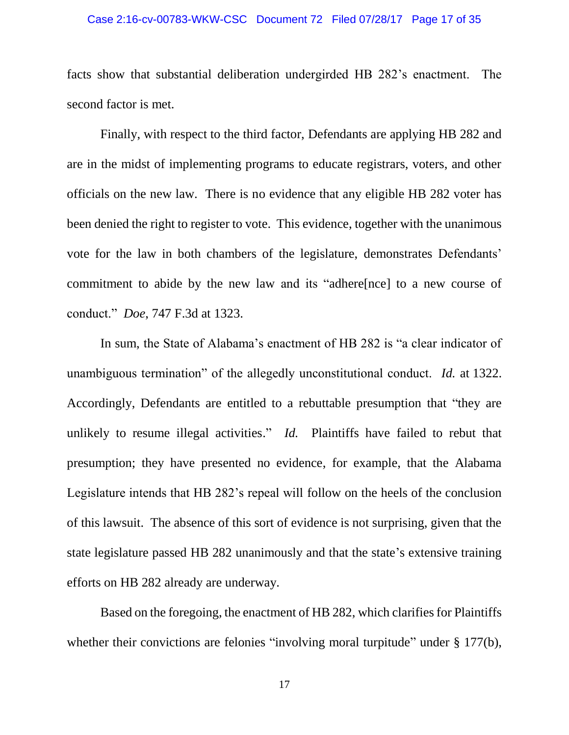#### Case 2:16-cv-00783-WKW-CSC Document 72 Filed 07/28/17 Page 17 of 35

facts show that substantial deliberation undergirded HB 282's enactment. The second factor is met.

Finally, with respect to the third factor, Defendants are applying HB 282 and are in the midst of implementing programs to educate registrars, voters, and other officials on the new law. There is no evidence that any eligible HB 282 voter has been denied the right to register to vote. This evidence, together with the unanimous vote for the law in both chambers of the legislature, demonstrates Defendants' commitment to abide by the new law and its "adhere[nce] to a new course of conduct." *Doe*, 747 F.3d at 1323.

In sum, the State of Alabama's enactment of HB 282 is "a clear indicator of unambiguous termination" of the allegedly unconstitutional conduct. *Id.* at 1322. Accordingly, Defendants are entitled to a rebuttable presumption that "they are unlikely to resume illegal activities." *Id.* Plaintiffs have failed to rebut that presumption; they have presented no evidence, for example, that the Alabama Legislature intends that HB 282's repeal will follow on the heels of the conclusion of this lawsuit. The absence of this sort of evidence is not surprising, given that the state legislature passed HB 282 unanimously and that the state's extensive training efforts on HB 282 already are underway.

Based on the foregoing, the enactment of HB 282, which clarifies for Plaintiffs whether their convictions are felonies "involving moral turpitude" under § 177(b),

17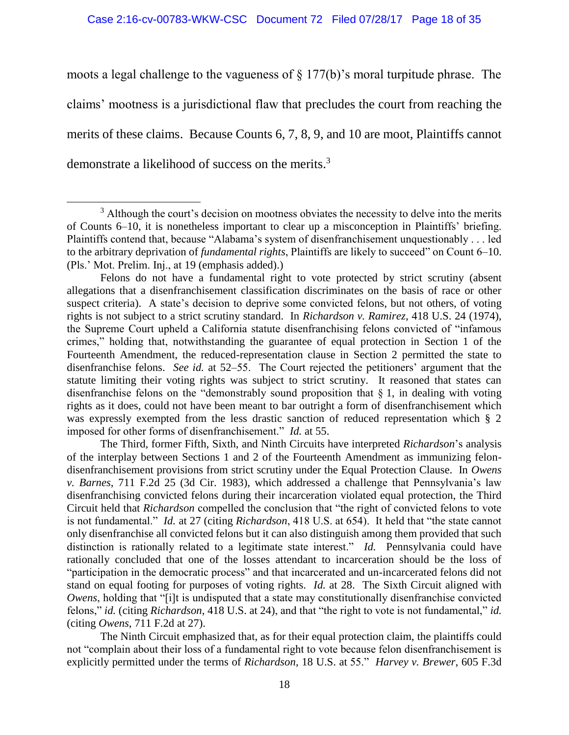moots a legal challenge to the vagueness of  $\S$  177(b)'s moral turpitude phrase. The claims' mootness is a jurisdictional flaw that precludes the court from reaching the merits of these claims. Because Counts 6, 7, 8, 9, and 10 are moot, Plaintiffs cannot demonstrate a likelihood of success on the merits.<sup>3</sup>

Felons do not have a fundamental right to vote protected by strict scrutiny (absent allegations that a disenfranchisement classification discriminates on the basis of race or other suspect criteria). A state's decision to deprive some convicted felons, but not others, of voting rights is not subject to a strict scrutiny standard. In *Richardson v. Ramirez*, 418 U.S. 24 (1974), the Supreme Court upheld a California statute disenfranchising felons convicted of "infamous crimes," holding that, notwithstanding the guarantee of equal protection in Section 1 of the Fourteenth Amendment, the reduced-representation clause in Section 2 permitted the state to disenfranchise felons. *See id.* at 52–55. The Court rejected the petitioners' argument that the statute limiting their voting rights was subject to strict scrutiny. It reasoned that states can disenfranchise felons on the "demonstrably sound proposition that § 1, in dealing with voting rights as it does, could not have been meant to bar outright a form of disenfranchisement which was expressly exempted from the less drastic sanction of reduced representation which § 2 imposed for other forms of disenfranchisement." *Id.* at 55.

The Third, former Fifth, Sixth, and Ninth Circuits have interpreted *Richardson*'s analysis of the interplay between Sections 1 and 2 of the Fourteenth Amendment as immunizing felondisenfranchisement provisions from strict scrutiny under the Equal Protection Clause. In *Owens v. Barnes*, 711 F.2d 25 (3d Cir. 1983), which addressed a challenge that Pennsylvania's law disenfranchising convicted felons during their incarceration violated equal protection, the Third Circuit held that *Richardson* compelled the conclusion that "the right of convicted felons to vote is not fundamental." *Id.* at 27 (citing *Richardson*, 418 U.S. at 654). It held that "the state cannot only disenfranchise all convicted felons but it can also distinguish among them provided that such distinction is rationally related to a legitimate state interest." *Id.* Pennsylvania could have rationally concluded that one of the losses attendant to incarceration should be the loss of "participation in the democratic process" and that incarcerated and un-incarcerated felons did not stand on equal footing for purposes of voting rights. *Id.* at 28. The Sixth Circuit aligned with *Owens*, holding that "[i]t is undisputed that a state may constitutionally disenfranchise convicted felons," *id.* (citing *Richardson*, 418 U.S. at 24), and that "the right to vote is not fundamental," *id.* (citing *Owens*, 711 F.2d at 27).

The Ninth Circuit emphasized that, as for their equal protection claim, the plaintiffs could not "complain about their loss of a fundamental right to vote because felon disenfranchisement is explicitly permitted under the terms of *Richardson*, 18 U.S. at 55." *Harvey v. Brewer*, 605 F.3d

 $\overline{\phantom{a}}$ <sup>3</sup> Although the court's decision on mootness obviates the necessity to delve into the merits of Counts 6–10, it is nonetheless important to clear up a misconception in Plaintiffs' briefing. Plaintiffs contend that, because "Alabama's system of disenfranchisement unquestionably . . . led to the arbitrary deprivation of *fundamental rights*, Plaintiffs are likely to succeed" on Count 6–10. (Pls.' Mot. Prelim. Inj., at 19 (emphasis added).)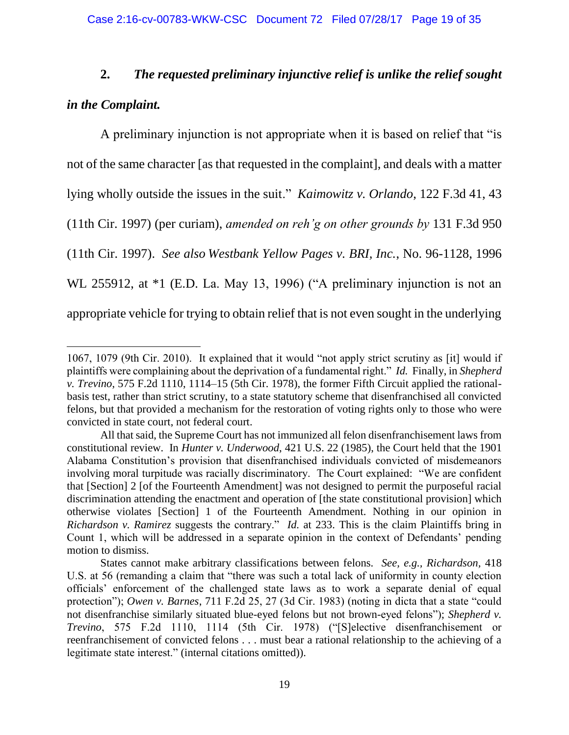# **2.** *The requested preliminary injunctive relief is unlike the relief sought in the Complaint.*

A preliminary injunction is not appropriate when it is based on relief that "is not of the same character [as that requested in the complaint], and deals with a matter lying wholly outside the issues in the suit." *Kaimowitz v. Orlando*, 122 F.3d 41, 43 (11th Cir. 1997) (per curiam), *amended on reh'g on other grounds by* 131 F.3d 950 (11th Cir. 1997). *See also Westbank Yellow Pages v. BRI, Inc.*, No. 96-1128, 1996 WL 255912, at \*1 (E.D. La. May 13, 1996) ("A preliminary injunction is not an appropriate vehicle for trying to obtain relief that is not even sought in the underlying

 $\overline{\phantom{a}}$ 1067, 1079 (9th Cir. 2010). It explained that it would "not apply strict scrutiny as [it] would if plaintiffs were complaining about the deprivation of a fundamental right." *Id.* Finally, in *Shepherd v. Trevino*, 575 F.2d 1110, 1114–15 (5th Cir. 1978), the former Fifth Circuit applied the rationalbasis test, rather than strict scrutiny, to a state statutory scheme that disenfranchised all convicted felons, but that provided a mechanism for the restoration of voting rights only to those who were convicted in state court, not federal court.

All that said, the Supreme Court has not immunized all felon disenfranchisement laws from constitutional review. In *Hunter v. Underwood*, 421 U.S. 22 (1985), the Court held that the 1901 Alabama Constitution's provision that disenfranchised individuals convicted of misdemeanors involving moral turpitude was racially discriminatory. The Court explained: "We are confident that [Section] 2 [of the Fourteenth Amendment] was not designed to permit the purposeful racial discrimination attending the enactment and operation of [the state constitutional provision] which otherwise violates [Section] 1 of the Fourteenth Amendment. Nothing in our opinion in *Richardson v. Ramirez* suggests the contrary." *Id.* at 233. This is the claim Plaintiffs bring in Count 1, which will be addressed in a separate opinion in the context of Defendants' pending motion to dismiss.

States cannot make arbitrary classifications between felons. *See, e.g., Richardson,* 418 U.S. at 56 (remanding a claim that "there was such a total lack of uniformity in county election officials' enforcement of the challenged state laws as to work a separate denial of equal protection"); *Owen v. Barnes*, 711 F.2d 25, 27 (3d Cir. 1983) (noting in dicta that a state "could not disenfranchise similarly situated blue-eyed felons but not brown-eyed felons"); *Shepherd v. Trevino*, 575 F.2d 1110, 1114 (5th Cir. 1978) ("[S]elective disenfranchisement or reenfranchisement of convicted felons . . . must bear a rational relationship to the achieving of a legitimate state interest." (internal citations omitted)).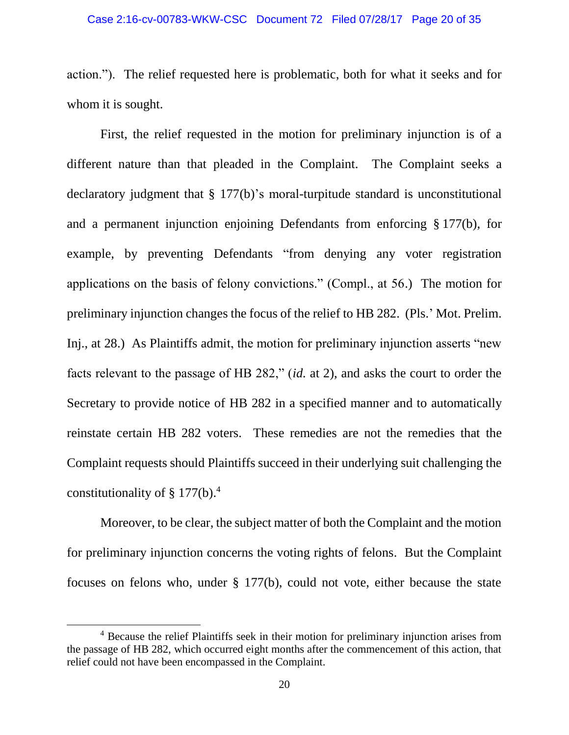action."). The relief requested here is problematic, both for what it seeks and for whom it is sought.

First, the relief requested in the motion for preliminary injunction is of a different nature than that pleaded in the Complaint. The Complaint seeks a declaratory judgment that § 177(b)'s moral-turpitude standard is unconstitutional and a permanent injunction enjoining Defendants from enforcing § 177(b), for example, by preventing Defendants "from denying any voter registration applications on the basis of felony convictions." (Compl., at 56.) The motion for preliminary injunction changes the focus of the relief to HB 282. (Pls.' Mot. Prelim. Inj., at 28.) As Plaintiffs admit, the motion for preliminary injunction asserts "new facts relevant to the passage of HB 282," (*id.* at 2), and asks the court to order the Secretary to provide notice of HB 282 in a specified manner and to automatically reinstate certain HB 282 voters. These remedies are not the remedies that the Complaint requests should Plaintiffs succeed in their underlying suit challenging the constitutionality of  $\S 177(b)$ .<sup>4</sup>

Moreover, to be clear, the subject matter of both the Complaint and the motion for preliminary injunction concerns the voting rights of felons. But the Complaint focuses on felons who, under § 177(b), could not vote, either because the state

 $\overline{a}$ 

<sup>&</sup>lt;sup>4</sup> Because the relief Plaintiffs seek in their motion for preliminary injunction arises from the passage of HB 282, which occurred eight months after the commencement of this action, that relief could not have been encompassed in the Complaint.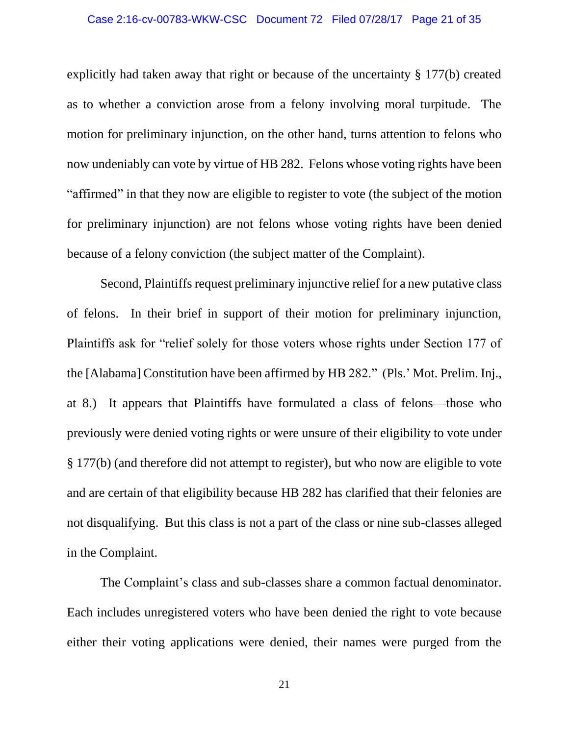#### Case 2:16-cv-00783-WKW-CSC Document 72 Filed 07/28/17 Page 21 of 35

explicitly had taken away that right or because of the uncertainty § 177(b) created as to whether a conviction arose from a felony involving moral turpitude. The motion for preliminary injunction, on the other hand, turns attention to felons who now undeniably can vote by virtue of HB 282. Felons whose voting rights have been "affirmed" in that they now are eligible to register to vote (the subject of the motion for preliminary injunction) are not felons whose voting rights have been denied because of a felony conviction (the subject matter of the Complaint).

Second, Plaintiffs request preliminary injunctive relief for a new putative class of felons. In their brief in support of their motion for preliminary injunction, Plaintiffs ask for "relief solely for those voters whose rights under Section 177 of the [Alabama] Constitution have been affirmed by HB 282." (Pls.' Mot. Prelim. Inj., at 8.) It appears that Plaintiffs have formulated a class of felons—those who previously were denied voting rights or were unsure of their eligibility to vote under § 177(b) (and therefore did not attempt to register), but who now are eligible to vote and are certain of that eligibility because HB 282 has clarified that their felonies are not disqualifying. But this class is not a part of the class or nine sub-classes alleged in the Complaint.

The Complaint's class and sub-classes share a common factual denominator. Each includes unregistered voters who have been denied the right to vote because either their voting applications were denied, their names were purged from the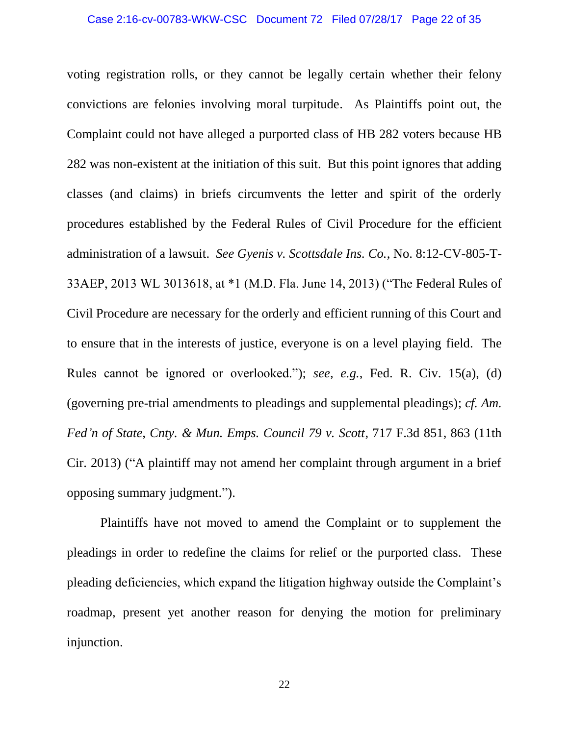voting registration rolls, or they cannot be legally certain whether their felony convictions are felonies involving moral turpitude. As Plaintiffs point out, the Complaint could not have alleged a purported class of HB 282 voters because HB 282 was non-existent at the initiation of this suit. But this point ignores that adding classes (and claims) in briefs circumvents the letter and spirit of the orderly procedures established by the Federal Rules of Civil Procedure for the efficient administration of a lawsuit. *See Gyenis v. Scottsdale Ins. Co.*, No. 8:12-CV-805-T-33AEP, 2013 WL 3013618, at \*1 (M.D. Fla. June 14, 2013) ("The Federal Rules of Civil Procedure are necessary for the orderly and efficient running of this Court and to ensure that in the interests of justice, everyone is on a level playing field. The Rules cannot be ignored or overlooked."); *see, e.g.*, Fed. R. Civ. 15(a), (d) (governing pre-trial amendments to pleadings and supplemental pleadings); *cf. Am. Fed'n of State, Cnty. & Mun. Emps. Council 79 v. Scott*, 717 F.3d 851, 863 (11th Cir. 2013) ("A plaintiff may not amend her complaint through argument in a brief opposing summary judgment.").

Plaintiffs have not moved to amend the Complaint or to supplement the pleadings in order to redefine the claims for relief or the purported class. These pleading deficiencies, which expand the litigation highway outside the Complaint's roadmap, present yet another reason for denying the motion for preliminary injunction.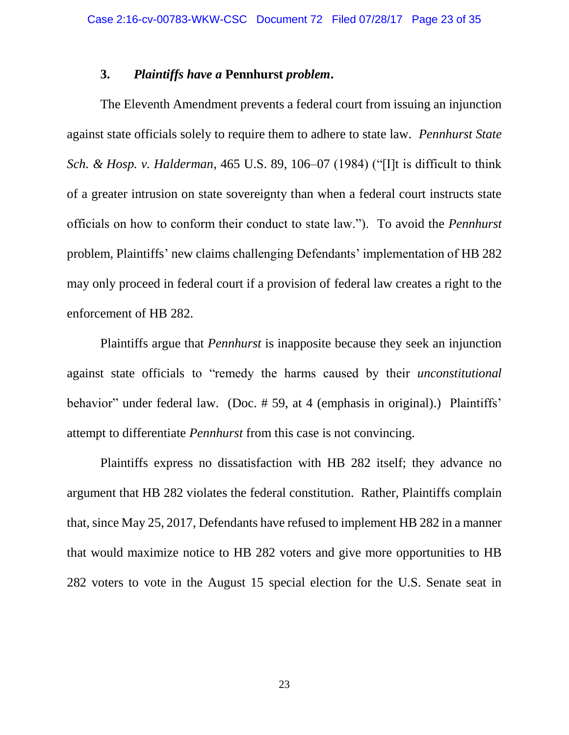## **3.** *Plaintiffs have a* **Pennhurst** *problem***.**

The Eleventh Amendment prevents a federal court from issuing an injunction against state officials solely to require them to adhere to state law. *Pennhurst State Sch. & Hosp. v. Halderman*, 465 U.S. 89, 106–07 (1984) ("[I]t is difficult to think of a greater intrusion on state sovereignty than when a federal court instructs state officials on how to conform their conduct to state law."). To avoid the *Pennhurst* problem, Plaintiffs' new claims challenging Defendants' implementation of HB 282 may only proceed in federal court if a provision of federal law creates a right to the enforcement of HB 282.

Plaintiffs argue that *Pennhurst* is inapposite because they seek an injunction against state officials to "remedy the harms caused by their *unconstitutional* behavior" under federal law. (Doc. # 59, at 4 (emphasis in original).) Plaintiffs' attempt to differentiate *Pennhurst* from this case is not convincing.

Plaintiffs express no dissatisfaction with HB 282 itself; they advance no argument that HB 282 violates the federal constitution. Rather, Plaintiffs complain that, since May 25, 2017, Defendants have refused to implement HB 282 in a manner that would maximize notice to HB 282 voters and give more opportunities to HB 282 voters to vote in the August 15 special election for the U.S. Senate seat in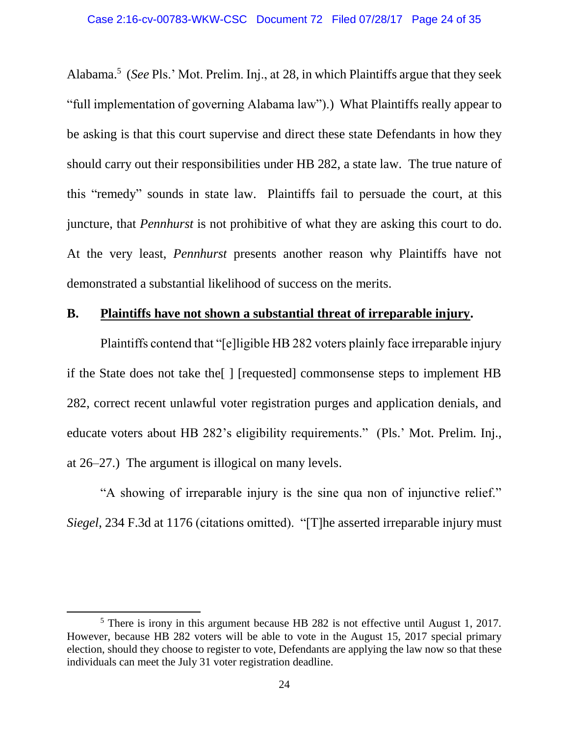Alabama. 5 (*See* Pls.' Mot. Prelim. Inj., at 28, in which Plaintiffs argue that they seek "full implementation of governing Alabama law").) What Plaintiffs really appear to be asking is that this court supervise and direct these state Defendants in how they should carry out their responsibilities under HB 282, a state law. The true nature of this "remedy" sounds in state law. Plaintiffs fail to persuade the court, at this juncture, that *Pennhurst* is not prohibitive of what they are asking this court to do. At the very least, *Pennhurst* presents another reason why Plaintiffs have not demonstrated a substantial likelihood of success on the merits.

## **B. Plaintiffs have not shown a substantial threat of irreparable injury.**

Plaintiffs contend that "[e]ligible HB 282 voters plainly face irreparable injury if the State does not take the[ ] [requested] commonsense steps to implement HB 282, correct recent unlawful voter registration purges and application denials, and educate voters about HB 282's eligibility requirements." (Pls.' Mot. Prelim. Inj., at 26–27.) The argument is illogical on many levels.

"A showing of irreparable injury is the sine qua non of injunctive relief." *Siegel*, 234 F.3d at 1176 (citations omitted). "[T]he asserted irreparable injury must

l

 $<sup>5</sup>$  There is irony in this argument because HB 282 is not effective until August 1, 2017.</sup> However, because HB 282 voters will be able to vote in the August 15, 2017 special primary election, should they choose to register to vote, Defendants are applying the law now so that these individuals can meet the July 31 voter registration deadline.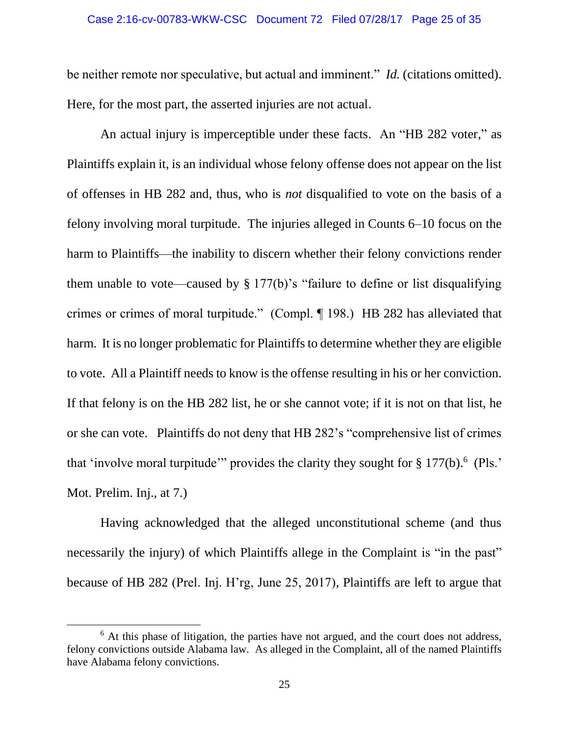be neither remote nor speculative, but actual and imminent." *Id.* (citations omitted). Here, for the most part, the asserted injuries are not actual.

An actual injury is imperceptible under these facts. An "HB 282 voter," as Plaintiffs explain it, is an individual whose felony offense does not appear on the list of offenses in HB 282 and, thus, who is *not* disqualified to vote on the basis of a felony involving moral turpitude. The injuries alleged in Counts 6–10 focus on the harm to Plaintiffs—the inability to discern whether their felony convictions render them unable to vote—caused by § 177(b)'s "failure to define or list disqualifying crimes or crimes of moral turpitude." (Compl. ¶ 198.) HB 282 has alleviated that harm. It is no longer problematic for Plaintiffs to determine whether they are eligible to vote. All a Plaintiff needs to know is the offense resulting in his or her conviction. If that felony is on the HB 282 list, he or she cannot vote; if it is not on that list, he or she can vote. Plaintiffs do not deny that HB 282's "comprehensive list of crimes that 'involve moral turpitude'" provides the clarity they sought for  $\S 177(b)$ .<sup>6</sup> (Pls.' Mot. Prelim. Inj., at 7.)

Having acknowledged that the alleged unconstitutional scheme (and thus necessarily the injury) of which Plaintiffs allege in the Complaint is "in the past" because of HB 282 (Prel. Inj. H'rg, June 25, 2017), Plaintiffs are left to argue that

 $\overline{a}$ 

 $6$  At this phase of litigation, the parties have not argued, and the court does not address, felony convictions outside Alabama law. As alleged in the Complaint, all of the named Plaintiffs have Alabama felony convictions.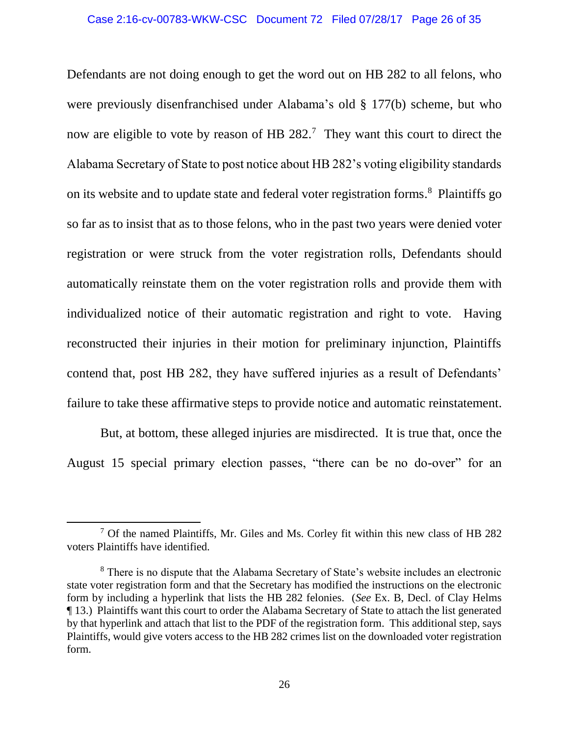Defendants are not doing enough to get the word out on HB 282 to all felons, who were previously disenfranchised under Alabama's old § 177(b) scheme, but who now are eligible to vote by reason of HB  $282<sup>7</sup>$  They want this court to direct the Alabama Secretary of State to post notice about HB 282's voting eligibility standards on its website and to update state and federal voter registration forms. 8 Plaintiffs go so far as to insist that as to those felons, who in the past two years were denied voter registration or were struck from the voter registration rolls, Defendants should automatically reinstate them on the voter registration rolls and provide them with individualized notice of their automatic registration and right to vote. Having reconstructed their injuries in their motion for preliminary injunction, Plaintiffs contend that, post HB 282, they have suffered injuries as a result of Defendants' failure to take these affirmative steps to provide notice and automatic reinstatement.

But, at bottom, these alleged injuries are misdirected. It is true that, once the August 15 special primary election passes, "there can be no do-over" for an

 $\overline{\phantom{a}}$ 

 $<sup>7</sup>$  Of the named Plaintiffs, Mr. Giles and Ms. Corley fit within this new class of HB 282</sup> voters Plaintiffs have identified.

<sup>&</sup>lt;sup>8</sup> There is no dispute that the Alabama Secretary of State's website includes an electronic state voter registration form and that the Secretary has modified the instructions on the electronic form by including a hyperlink that lists the HB 282 felonies. (*See* Ex. B, Decl. of Clay Helms ¶ 13.) Plaintiffs want this court to order the Alabama Secretary of State to attach the list generated by that hyperlink and attach that list to the PDF of the registration form. This additional step, says Plaintiffs, would give voters access to the HB 282 crimes list on the downloaded voter registration form.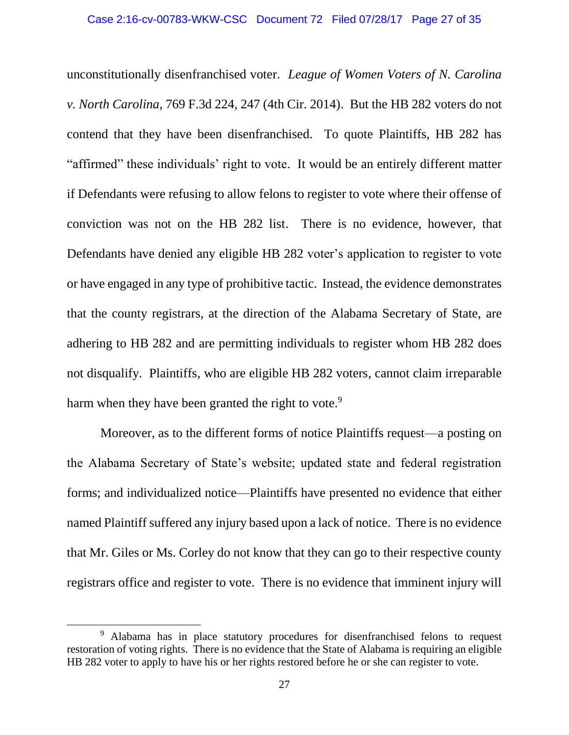unconstitutionally disenfranchised voter. *League of Women Voters of N. Carolina v. North Carolina*, 769 F.3d 224, 247 (4th Cir. 2014). But the HB 282 voters do not contend that they have been disenfranchised. To quote Plaintiffs, HB 282 has "affirmed" these individuals' right to vote. It would be an entirely different matter if Defendants were refusing to allow felons to register to vote where their offense of conviction was not on the HB 282 list. There is no evidence, however, that Defendants have denied any eligible HB 282 voter's application to register to vote or have engaged in any type of prohibitive tactic. Instead, the evidence demonstrates that the county registrars, at the direction of the Alabama Secretary of State, are adhering to HB 282 and are permitting individuals to register whom HB 282 does not disqualify. Plaintiffs, who are eligible HB 282 voters, cannot claim irreparable harm when they have been granted the right to vote.<sup>9</sup>

Moreover, as to the different forms of notice Plaintiffs request—a posting on the Alabama Secretary of State's website; updated state and federal registration forms; and individualized notice—Plaintiffs have presented no evidence that either named Plaintiff suffered any injury based upon a lack of notice. There is no evidence that Mr. Giles or Ms. Corley do not know that they can go to their respective county registrars office and register to vote. There is no evidence that imminent injury will

 $\overline{a}$ 

<sup>&</sup>lt;sup>9</sup> Alabama has in place statutory procedures for disenfranchised felons to request restoration of voting rights. There is no evidence that the State of Alabama is requiring an eligible HB 282 voter to apply to have his or her rights restored before he or she can register to vote.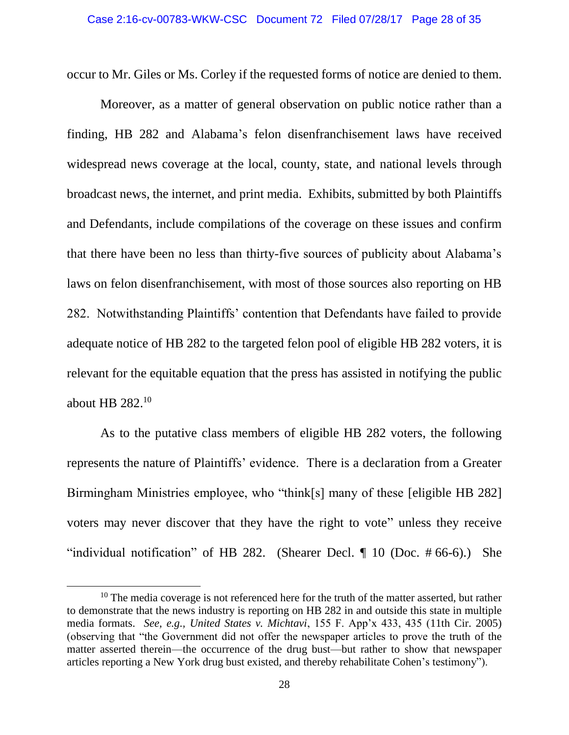occur to Mr. Giles or Ms. Corley if the requested forms of notice are denied to them.

Moreover, as a matter of general observation on public notice rather than a finding, HB 282 and Alabama's felon disenfranchisement laws have received widespread news coverage at the local, county, state, and national levels through broadcast news, the internet, and print media. Exhibits, submitted by both Plaintiffs and Defendants, include compilations of the coverage on these issues and confirm that there have been no less than thirty-five sources of publicity about Alabama's laws on felon disenfranchisement, with most of those sources also reporting on HB 282. Notwithstanding Plaintiffs' contention that Defendants have failed to provide adequate notice of HB 282 to the targeted felon pool of eligible HB 282 voters, it is relevant for the equitable equation that the press has assisted in notifying the public about HB 282.<sup>10</sup>

As to the putative class members of eligible HB 282 voters, the following represents the nature of Plaintiffs' evidence. There is a declaration from a Greater Birmingham Ministries employee, who "think[s] many of these [eligible HB 282] voters may never discover that they have the right to vote" unless they receive "individual notification" of HB 282. (Shearer Decl.  $\P$  10 (Doc. #66-6).) She

 $\overline{\phantom{a}}$ 

 $10$  The media coverage is not referenced here for the truth of the matter asserted, but rather to demonstrate that the news industry is reporting on HB 282 in and outside this state in multiple media formats. *See, e.g., United States v. Michtavi*, 155 F. App'x 433, 435 (11th Cir. 2005) (observing that "the Government did not offer the newspaper articles to prove the truth of the matter asserted therein—the occurrence of the drug bust—but rather to show that newspaper articles reporting a New York drug bust existed, and thereby rehabilitate Cohen's testimony").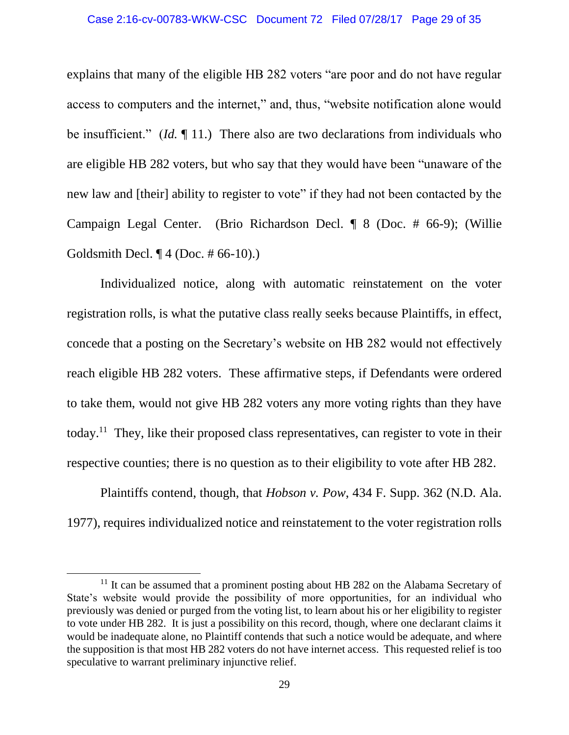explains that many of the eligible HB 282 voters "are poor and do not have regular access to computers and the internet," and, thus, "website notification alone would be insufficient." (*Id.* ¶ 11.) There also are two declarations from individuals who are eligible HB 282 voters, but who say that they would have been "unaware of the new law and [their] ability to register to vote" if they had not been contacted by the Campaign Legal Center. (Brio Richardson Decl. ¶ 8 (Doc. # 66-9); (Willie Goldsmith Decl. ¶ 4 (Doc. # 66-10).)

Individualized notice, along with automatic reinstatement on the voter registration rolls, is what the putative class really seeks because Plaintiffs, in effect, concede that a posting on the Secretary's website on HB 282 would not effectively reach eligible HB 282 voters. These affirmative steps, if Defendants were ordered to take them, would not give HB 282 voters any more voting rights than they have today.<sup>11</sup> They, like their proposed class representatives, can register to vote in their respective counties; there is no question as to their eligibility to vote after HB 282.

Plaintiffs contend, though, that *Hobson v. Pow*, 434 F. Supp. 362 (N.D. Ala. 1977), requires individualized notice and reinstatement to the voter registration rolls

 $\overline{a}$ 

 $11$  It can be assumed that a prominent posting about HB 282 on the Alabama Secretary of State's website would provide the possibility of more opportunities, for an individual who previously was denied or purged from the voting list, to learn about his or her eligibility to register to vote under HB 282. It is just a possibility on this record, though, where one declarant claims it would be inadequate alone, no Plaintiff contends that such a notice would be adequate, and where the supposition is that most HB 282 voters do not have internet access. This requested relief is too speculative to warrant preliminary injunctive relief.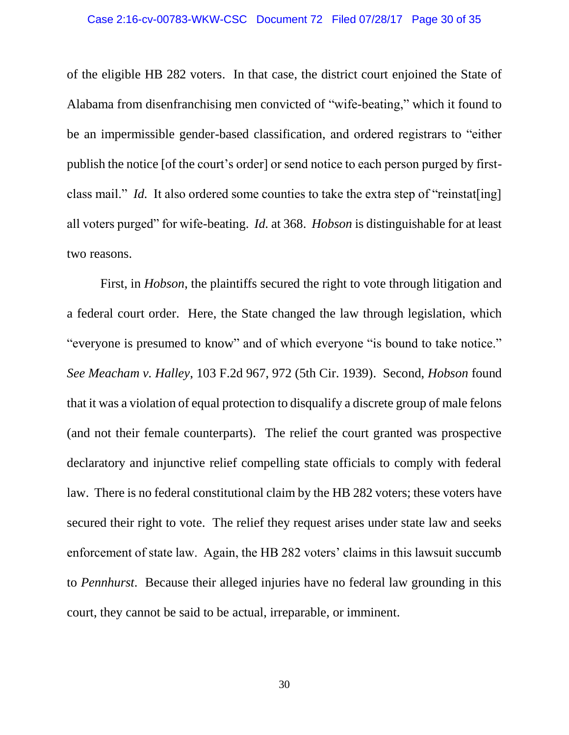of the eligible HB 282 voters. In that case, the district court enjoined the State of Alabama from disenfranchising men convicted of "wife-beating," which it found to be an impermissible gender-based classification, and ordered registrars to "either publish the notice [of the court's order] or send notice to each person purged by firstclass mail." *Id.* It also ordered some counties to take the extra step of "reinstates" all voters purged" for wife-beating. *Id.* at 368. *Hobson* is distinguishable for at least two reasons.

First, in *Hobson*, the plaintiffs secured the right to vote through litigation and a federal court order. Here, the State changed the law through legislation, which "everyone is presumed to know" and of which everyone "is bound to take notice." *See Meacham v. Halley*, 103 F.2d 967, 972 (5th Cir. 1939). Second, *Hobson* found that it was a violation of equal protection to disqualify a discrete group of male felons (and not their female counterparts). The relief the court granted was prospective declaratory and injunctive relief compelling state officials to comply with federal law. There is no federal constitutional claim by the HB 282 voters; these voters have secured their right to vote. The relief they request arises under state law and seeks enforcement of state law. Again, the HB 282 voters' claims in this lawsuit succumb to *Pennhurst*. Because their alleged injuries have no federal law grounding in this court, they cannot be said to be actual, irreparable, or imminent.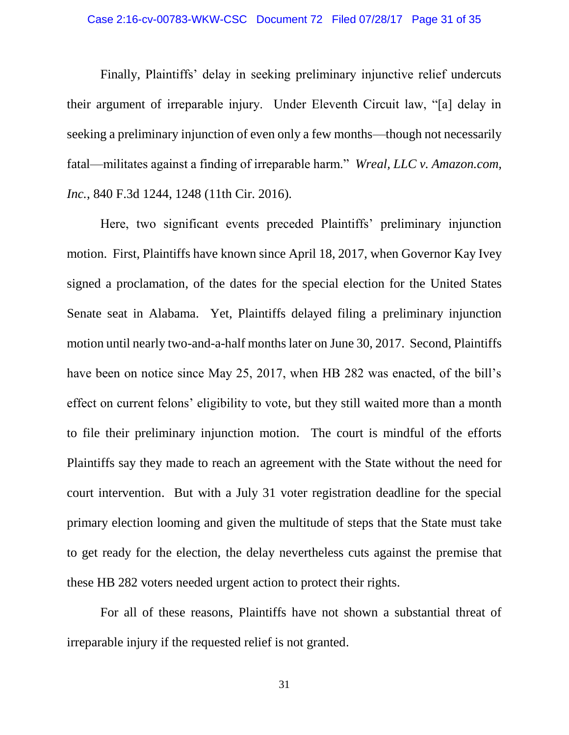Finally, Plaintiffs' delay in seeking preliminary injunctive relief undercuts their argument of irreparable injury. Under Eleventh Circuit law, "[a] delay in seeking a preliminary injunction of even only a few months—though not necessarily fatal—militates against a finding of irreparable harm." *Wreal, LLC v. Amazon.com, Inc.*, 840 F.3d 1244, 1248 (11th Cir. 2016).

Here, two significant events preceded Plaintiffs' preliminary injunction motion. First, Plaintiffs have known since April 18, 2017, when Governor Kay Ivey signed a proclamation, of the dates for the special election for the United States Senate seat in Alabama. Yet, Plaintiffs delayed filing a preliminary injunction motion until nearly two-and-a-half months later on June 30, 2017. Second, Plaintiffs have been on notice since May 25, 2017, when HB 282 was enacted, of the bill's effect on current felons' eligibility to vote, but they still waited more than a month to file their preliminary injunction motion. The court is mindful of the efforts Plaintiffs say they made to reach an agreement with the State without the need for court intervention. But with a July 31 voter registration deadline for the special primary election looming and given the multitude of steps that the State must take to get ready for the election, the delay nevertheless cuts against the premise that these HB 282 voters needed urgent action to protect their rights.

For all of these reasons, Plaintiffs have not shown a substantial threat of irreparable injury if the requested relief is not granted.

31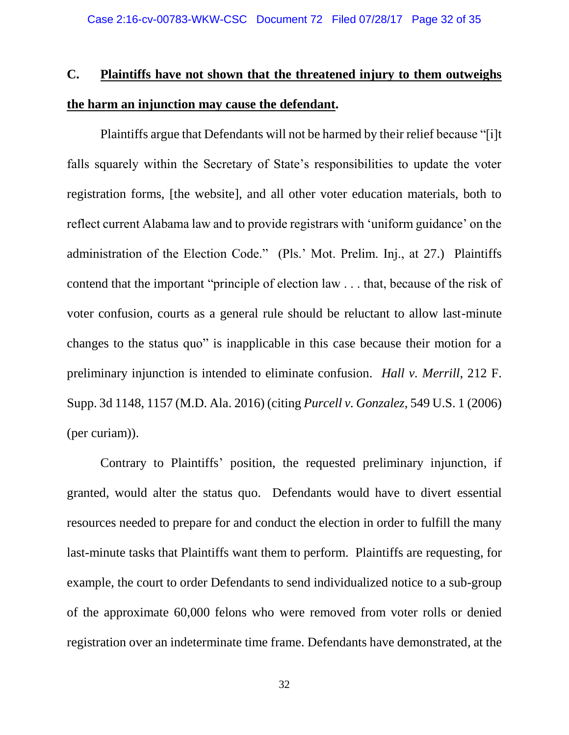# **C. Plaintiffs have not shown that the threatened injury to them outweighs the harm an injunction may cause the defendant.**

Plaintiffs argue that Defendants will not be harmed by their relief because "[i]t falls squarely within the Secretary of State's responsibilities to update the voter registration forms, [the website], and all other voter education materials, both to reflect current Alabama law and to provide registrars with 'uniform guidance' on the administration of the Election Code." (Pls.' Mot. Prelim. Inj., at 27.) Plaintiffs contend that the important "principle of election law . . . that, because of the risk of voter confusion, courts as a general rule should be reluctant to allow last-minute changes to the status quo" is inapplicable in this case because their motion for a preliminary injunction is intended to eliminate confusion. *Hall v. Merrill*, 212 F. Supp. 3d 1148, 1157 (M.D. Ala. 2016) (citing *Purcell v. Gonzalez*, 549 U.S. 1 (2006) (per curiam)).

Contrary to Plaintiffs' position, the requested preliminary injunction, if granted, would alter the status quo. Defendants would have to divert essential resources needed to prepare for and conduct the election in order to fulfill the many last-minute tasks that Plaintiffs want them to perform. Plaintiffs are requesting, for example, the court to order Defendants to send individualized notice to a sub-group of the approximate 60,000 felons who were removed from voter rolls or denied registration over an indeterminate time frame. Defendants have demonstrated, at the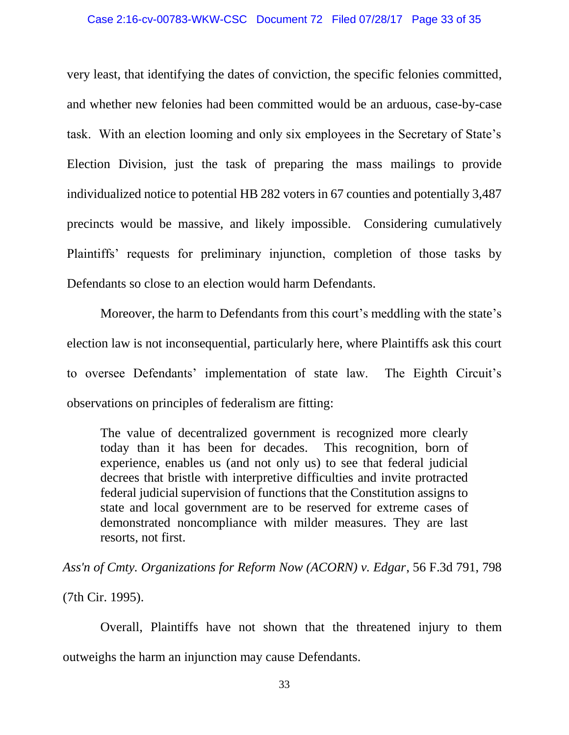very least, that identifying the dates of conviction, the specific felonies committed, and whether new felonies had been committed would be an arduous, case-by-case task. With an election looming and only six employees in the Secretary of State's Election Division, just the task of preparing the mass mailings to provide individualized notice to potential HB 282 voters in 67 counties and potentially 3,487 precincts would be massive, and likely impossible. Considering cumulatively Plaintiffs' requests for preliminary injunction, completion of those tasks by Defendants so close to an election would harm Defendants.

Moreover, the harm to Defendants from this court's meddling with the state's election law is not inconsequential, particularly here, where Plaintiffs ask this court to oversee Defendants' implementation of state law. The Eighth Circuit's observations on principles of federalism are fitting:

The value of decentralized government is recognized more clearly today than it has been for decades. This recognition, born of experience, enables us (and not only us) to see that federal judicial decrees that bristle with interpretive difficulties and invite protracted federal judicial supervision of functions that the Constitution assigns to state and local government are to be reserved for extreme cases of demonstrated noncompliance with milder measures. They are last resorts, not first.

*Ass'n of Cmty. Organizations for Reform Now (ACORN) v. Edgar*, 56 F.3d 791, 798

(7th Cir. 1995).

Overall, Plaintiffs have not shown that the threatened injury to them outweighs the harm an injunction may cause Defendants.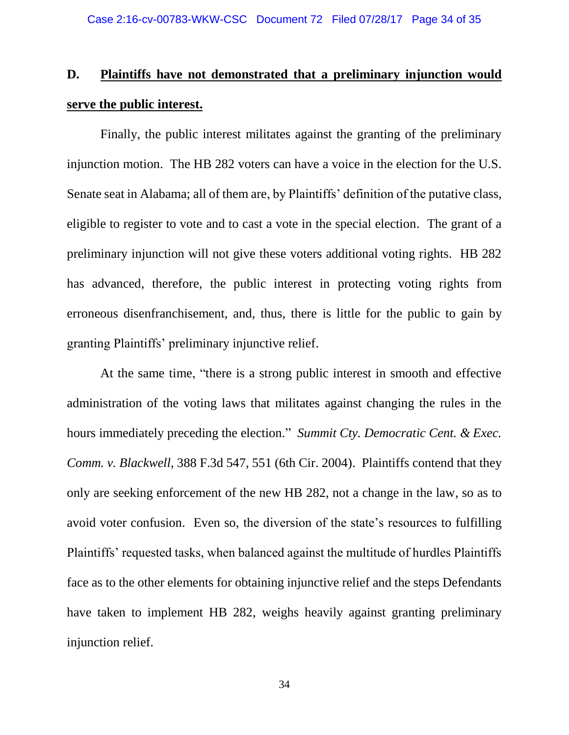# **D. Plaintiffs have not demonstrated that a preliminary injunction would serve the public interest.**

Finally, the public interest militates against the granting of the preliminary injunction motion. The HB 282 voters can have a voice in the election for the U.S. Senate seat in Alabama; all of them are, by Plaintiffs' definition of the putative class, eligible to register to vote and to cast a vote in the special election. The grant of a preliminary injunction will not give these voters additional voting rights. HB 282 has advanced, therefore, the public interest in protecting voting rights from erroneous disenfranchisement, and, thus, there is little for the public to gain by granting Plaintiffs' preliminary injunctive relief.

At the same time, "there is a strong public interest in smooth and effective administration of the voting laws that militates against changing the rules in the hours immediately preceding the election." *Summit Cty. Democratic Cent. & Exec. Comm. v. Blackwell*, 388 F.3d 547, 551 (6th Cir. 2004). Plaintiffs contend that they only are seeking enforcement of the new HB 282, not a change in the law, so as to avoid voter confusion. Even so, the diversion of the state's resources to fulfilling Plaintiffs' requested tasks, when balanced against the multitude of hurdles Plaintiffs face as to the other elements for obtaining injunctive relief and the steps Defendants have taken to implement HB 282, weighs heavily against granting preliminary injunction relief.